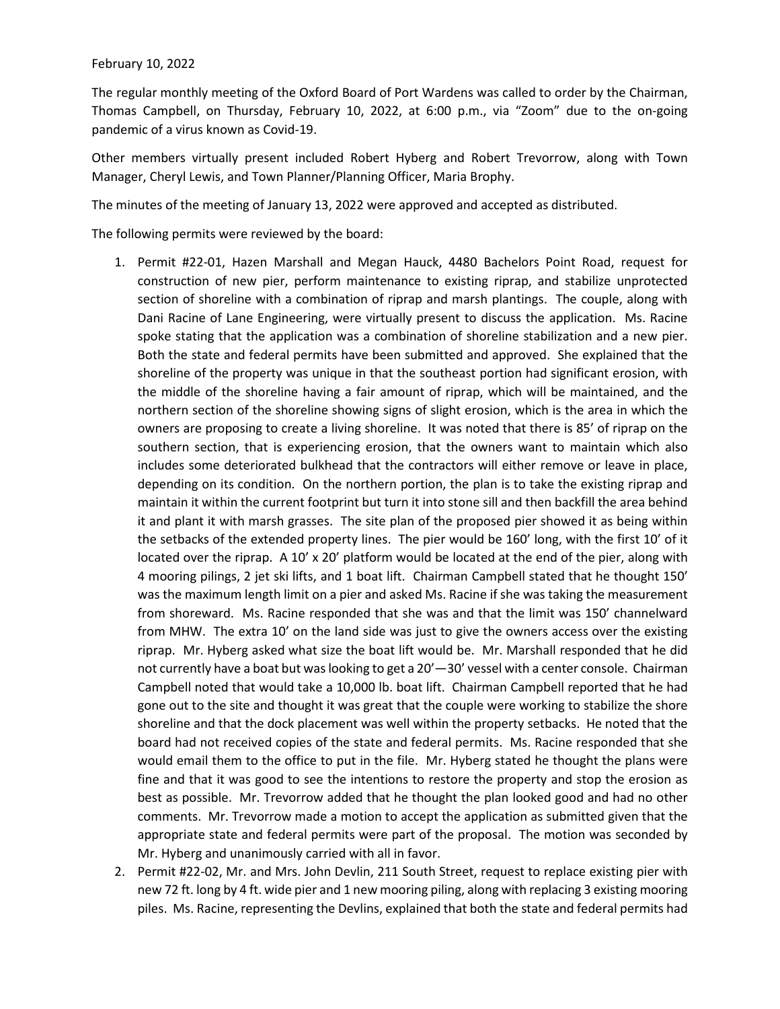## February 10, 2022

The regular monthly meeting of the Oxford Board of Port Wardens was called to order by the Chairman, Thomas Campbell, on Thursday, February 10, 2022, at 6:00 p.m., via "Zoom" due to the on-going pandemic of a virus known as Covid-19.

Other members virtually present included Robert Hyberg and Robert Trevorrow, along with Town Manager, Cheryl Lewis, and Town Planner/Planning Officer, Maria Brophy.

The minutes of the meeting of January 13, 2022 were approved and accepted as distributed.

The following permits were reviewed by the board:

- 1. Permit #22-01, Hazen Marshall and Megan Hauck, 4480 Bachelors Point Road, request for construction of new pier, perform maintenance to existing riprap, and stabilize unprotected section of shoreline with a combination of riprap and marsh plantings. The couple, along with Dani Racine of Lane Engineering, were virtually present to discuss the application. Ms. Racine spoke stating that the application was a combination of shoreline stabilization and a new pier. Both the state and federal permits have been submitted and approved. She explained that the shoreline of the property was unique in that the southeast portion had significant erosion, with the middle of the shoreline having a fair amount of riprap, which will be maintained, and the northern section of the shoreline showing signs of slight erosion, which is the area in which the owners are proposing to create a living shoreline. It was noted that there is 85' of riprap on the southern section, that is experiencing erosion, that the owners want to maintain which also includes some deteriorated bulkhead that the contractors will either remove or leave in place, depending on its condition. On the northern portion, the plan is to take the existing riprap and maintain it within the current footprint but turn it into stone sill and then backfill the area behind it and plant it with marsh grasses. The site plan of the proposed pier showed it as being within the setbacks of the extended property lines. The pier would be 160' long, with the first 10' of it located over the riprap. A 10' x 20' platform would be located at the end of the pier, along with 4 mooring pilings, 2 jet ski lifts, and 1 boat lift. Chairman Campbell stated that he thought 150' was the maximum length limit on a pier and asked Ms. Racine if she was taking the measurement from shoreward. Ms. Racine responded that she was and that the limit was 150' channelward from MHW. The extra 10' on the land side was just to give the owners access over the existing riprap. Mr. Hyberg asked what size the boat lift would be. Mr. Marshall responded that he did not currently have a boat but was looking to get a 20'—30' vessel with a center console. Chairman Campbell noted that would take a 10,000 lb. boat lift. Chairman Campbell reported that he had gone out to the site and thought it was great that the couple were working to stabilize the shore shoreline and that the dock placement was well within the property setbacks. He noted that the board had not received copies of the state and federal permits. Ms. Racine responded that she would email them to the office to put in the file. Mr. Hyberg stated he thought the plans were fine and that it was good to see the intentions to restore the property and stop the erosion as best as possible. Mr. Trevorrow added that he thought the plan looked good and had no other comments. Mr. Trevorrow made a motion to accept the application as submitted given that the appropriate state and federal permits were part of the proposal. The motion was seconded by Mr. Hyberg and unanimously carried with all in favor.
- 2. Permit #22-02, Mr. and Mrs. John Devlin, 211 South Street, request to replace existing pier with new 72 ft. long by 4 ft. wide pier and 1 new mooring piling, along with replacing 3 existing mooring piles. Ms. Racine, representing the Devlins, explained that both the state and federal permits had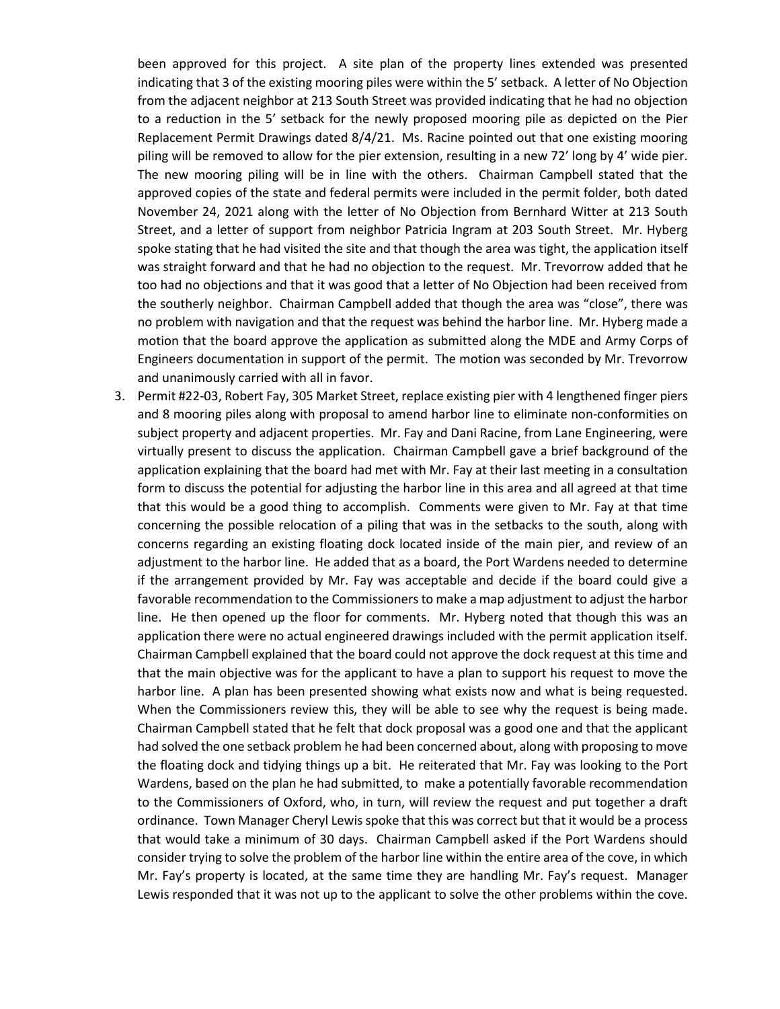been approved for this project. A site plan of the property lines extended was presented indicating that 3 of the existing mooring piles were within the 5' setback. A letter of No Objection from the adjacent neighbor at 213 South Street was provided indicating that he had no objection to a reduction in the 5' setback for the newly proposed mooring pile as depicted on the Pier Replacement Permit Drawings dated 8/4/21. Ms. Racine pointed out that one existing mooring piling will be removed to allow for the pier extension, resulting in a new 72' long by 4' wide pier. The new mooring piling will be in line with the others. Chairman Campbell stated that the approved copies of the state and federal permits were included in the permit folder, both dated November 24, 2021 along with the letter of No Objection from Bernhard Witter at 213 South Street, and a letter of support from neighbor Patricia Ingram at 203 South Street. Mr. Hyberg spoke stating that he had visited the site and that though the area was tight, the application itself was straight forward and that he had no objection to the request. Mr. Trevorrow added that he too had no objections and that it was good that a letter of No Objection had been received from the southerly neighbor. Chairman Campbell added that though the area was "close", there was no problem with navigation and that the request was behind the harbor line. Mr. Hyberg made a motion that the board approve the application as submitted along the MDE and Army Corps of Engineers documentation in support of the permit. The motion was seconded by Mr. Trevorrow and unanimously carried with all in favor.

3. Permit #22-03, Robert Fay, 305 Market Street, replace existing pier with 4 lengthened finger piers and 8 mooring piles along with proposal to amend harbor line to eliminate non-conformities on subject property and adjacent properties. Mr. Fay and Dani Racine, from Lane Engineering, were virtually present to discuss the application. Chairman Campbell gave a brief background of the application explaining that the board had met with Mr. Fay at their last meeting in a consultation form to discuss the potential for adjusting the harbor line in this area and all agreed at that time that this would be a good thing to accomplish. Comments were given to Mr. Fay at that time concerning the possible relocation of a piling that was in the setbacks to the south, along with concerns regarding an existing floating dock located inside of the main pier, and review of an adjustment to the harbor line. He added that as a board, the Port Wardens needed to determine if the arrangement provided by Mr. Fay was acceptable and decide if the board could give a favorable recommendation to the Commissioners to make a map adjustment to adjust the harbor line. He then opened up the floor for comments. Mr. Hyberg noted that though this was an application there were no actual engineered drawings included with the permit application itself. Chairman Campbell explained that the board could not approve the dock request at this time and that the main objective was for the applicant to have a plan to support his request to move the harbor line. A plan has been presented showing what exists now and what is being requested. When the Commissioners review this, they will be able to see why the request is being made. Chairman Campbell stated that he felt that dock proposal was a good one and that the applicant had solved the one setback problem he had been concerned about, along with proposing to move the floating dock and tidying things up a bit. He reiterated that Mr. Fay was looking to the Port Wardens, based on the plan he had submitted, to make a potentially favorable recommendation to the Commissioners of Oxford, who, in turn, will review the request and put together a draft ordinance. Town Manager Cheryl Lewis spoke that this was correct but that it would be a process that would take a minimum of 30 days. Chairman Campbell asked if the Port Wardens should consider trying to solve the problem of the harbor line within the entire area of the cove, in which Mr. Fay's property is located, at the same time they are handling Mr. Fay's request. Manager Lewis responded that it was not up to the applicant to solve the other problems within the cove.